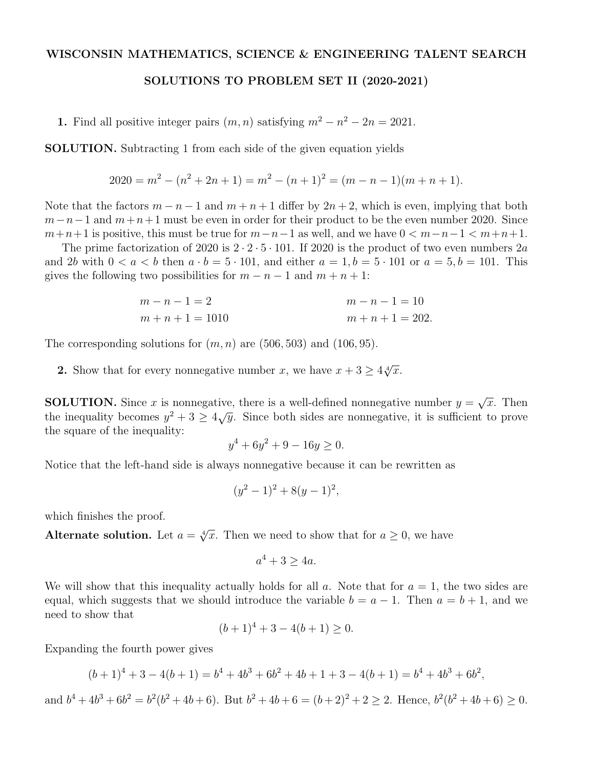## WISCONSIN MATHEMATICS, SCIENCE & ENGINEERING TALENT SEARCH

## SOLUTIONS TO PROBLEM SET II (2020-2021)

1. Find all positive integer pairs  $(m, n)$  satisfying  $m^2 - n^2 - 2n = 2021$ .

SOLUTION. Subtracting 1 from each side of the given equation yields

$$
2020 = m2 - (n2 + 2n + 1) = m2 - (n + 1)2 = (m - n - 1)(m + n + 1).
$$

Note that the factors  $m - n - 1$  and  $m + n + 1$  differ by  $2n + 2$ , which is even, implying that both  $m-n-1$  and  $m+n+1$  must be even in order for their product to be the even number 2020. Since  $m+n+1$  is positive, this must be true for  $m-n-1$  as well, and we have  $0 < m-n-1 < m+n+1$ .

The prime factorization of 2020 is  $2 \cdot 2 \cdot 5 \cdot 101$ . If 2020 is the product of two even numbers 2*a* and 2*b* with  $0 < a < b$  then  $a \cdot b = 5 \cdot 101$ , and either  $a = 1, b = 5 \cdot 101$  or  $a = 5, b = 101$ . This gives the following two possibilities for  $m - n - 1$  and  $m + n + 1$ :

$$
m-n-1=2
$$
  
\n
$$
m+n+1=1010
$$
  
\n
$$
m+n+1=202.
$$
  
\n
$$
m+n+1=202.
$$

The corresponding solutions for  $(m, n)$  are  $(506, 503)$  and  $(106, 95)$ .

**2.** Show that for every nonnegative number *x*, we have  $x + 3 \geq 4\sqrt[4]{x}$ .

**SOLUTION.** Since *x* is nonnegative, there is a well-defined nonnegative number  $y = \sqrt{x}$ . Then the inequality becomes  $y^2 + 3 \ge 4\sqrt{y}$ . Since both sides are nonnegative, it is sufficient to prove the square of the inequality:

$$
y^4 + 6y^2 + 9 - 16y \ge 0.
$$

Notice that the left-hand side is always nonnegative because it can be rewritten as

$$
(y^2 - 1)^2 + 8(y - 1)^2,
$$

which finishes the proof.

Alternate solution. Let  $a = \sqrt[4]{x}$ . Then we need to show that for  $a \geq 0$ , we have

$$
a^4 + 3 \ge 4a.
$$

We will show that this inequality actually holds for all  $a$ . Note that for  $a = 1$ , the two sides are equal, which suggests that we should introduce the variable  $b = a - 1$ . Then  $a = b + 1$ , and we need to show that

$$
(b+1)^4 + 3 - 4(b+1) \ge 0.
$$

Expanding the fourth power gives

$$
(b+1)4 + 3 - 4(b+1) = b4 + 4b3 + 6b2 + 4b + 1 + 3 - 4(b+1) = b4 + 4b3 + 6b2,
$$

and  $b^4 + 4b^3 + 6b^2 = b^2(b^2 + 4b + 6)$ . But  $b^2 + 4b + 6 = (b+2)^2 + 2 > 2$ . Hence,  $b^2(b^2 + 4b + 6) > 0$ .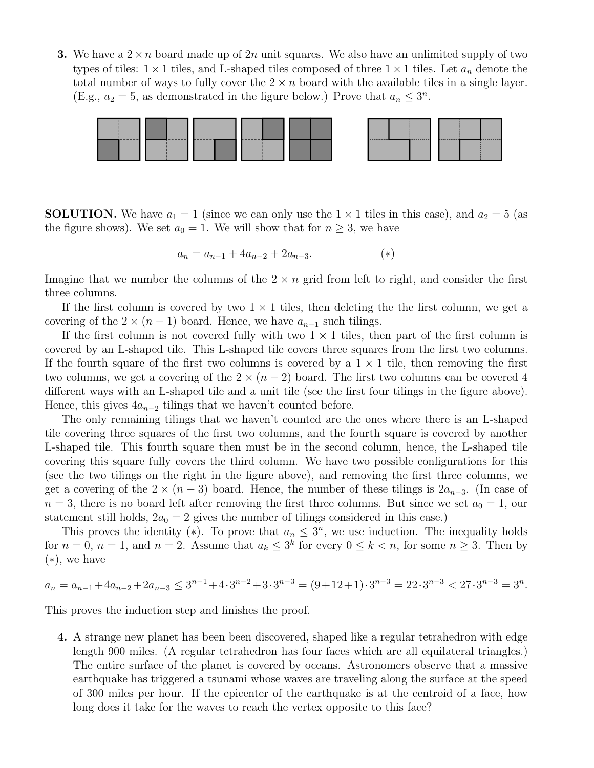**3.** We have a  $2 \times n$  board made up of 2*n* unit squares. We also have an unlimited supply of two types of tiles:  $1 \times 1$  tiles, and L-shaped tiles composed of three  $1 \times 1$  tiles. Let  $a_n$  denote the total number of ways to fully cover the  $2 \times n$  board with the available tiles in a single layer. (E.g.,  $a_2 = 5$ , as demonstrated in the figure below.) Prove that  $a_n \leq 3^n$ .



**SOLUTION.** We have  $a_1 = 1$  (since we can only use the  $1 \times 1$  tiles in this case), and  $a_2 = 5$  (as the figure shows). We set  $a_0 = 1$ . We will show that for  $n \geq 3$ , we have

$$
a_n = a_{n-1} + 4a_{n-2} + 2a_{n-3}.\tag{*}
$$

Imagine that we number the columns of the  $2 \times n$  grid from left to right, and consider the first three columns.

If the first column is covered by two  $1 \times 1$  tiles, then deleting the the first column, we get a covering of the  $2 \times (n-1)$  board. Hence, we have  $a_{n-1}$  such tilings.

If the first column is not covered fully with two  $1 \times 1$  tiles, then part of the first column is covered by an L-shaped tile. This L-shaped tile covers three squares from the first two columns. If the fourth square of the first two columns is covered by a  $1 \times 1$  tile, then removing the first two columns, we get a covering of the  $2 \times (n-2)$  board. The first two columns can be covered 4 different ways with an L-shaped tile and a unit tile (see the first four tilings in the figure above). Hence, this gives  $4a_{n-2}$  tilings that we haven't counted before.

The only remaining tilings that we haven't counted are the ones where there is an L-shaped tile covering three squares of the first two columns, and the fourth square is covered by another L-shaped tile. This fourth square then must be in the second column, hence, the L-shaped tile covering this square fully covers the third column. We have two possible configurations for this (see the two tilings on the right in the figure above), and removing the first three columns, we get a covering of the  $2 \times (n-3)$  board. Hence, the number of these tilings is  $2a_{n-3}$ . (In case of  $n = 3$ , there is no board left after removing the first three columns. But since we set  $a_0 = 1$ , our statement still holds,  $2a_0 = 2$  gives the number of tilings considered in this case.)

This proves the identity (\*). To prove that  $a_n \leq 3^n$ , we use induction. The inequality holds for  $n = 0$ ,  $n = 1$ , and  $n = 2$ . Assume that  $a_k \leq 3^k$  for every  $0 \leq k < n$ , for some  $n \geq 3$ . Then by  $(*)$ , we have

$$
a_n = a_{n-1} + 4a_{n-2} + 2a_{n-3} \le 3^{n-1} + 4 \cdot 3^{n-2} + 3 \cdot 3^{n-3} = (9+12+1) \cdot 3^{n-3} = 22 \cdot 3^{n-3} < 27 \cdot 3^{n-3} = 3^n.
$$

This proves the induction step and finishes the proof.

4. A strange new planet has been been discovered, shaped like a regular tetrahedron with edge length 900 miles. (A regular tetrahedron has four faces which are all equilateral triangles.) The entire surface of the planet is covered by oceans. Astronomers observe that a massive earthquake has triggered a tsunami whose waves are traveling along the surface at the speed of 300 miles per hour. If the epicenter of the earthquake is at the centroid of a face, how long does it take for the waves to reach the vertex opposite to this face?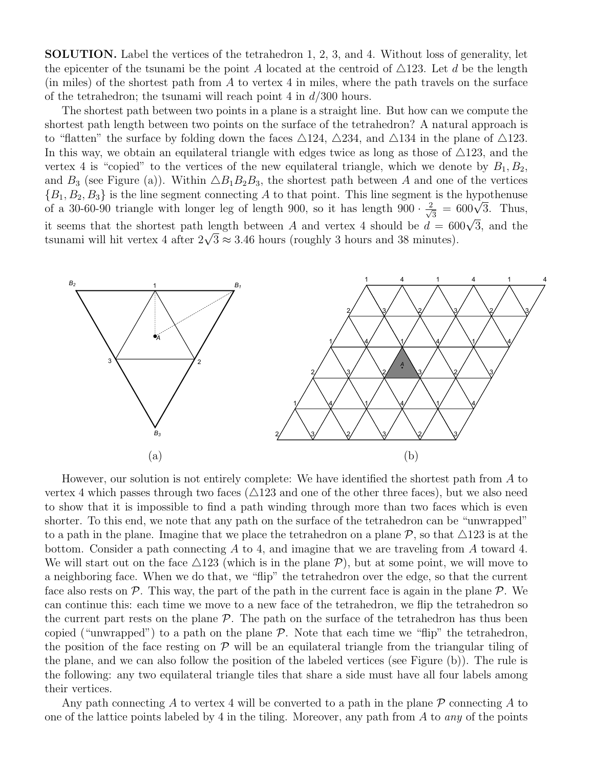SOLUTION. Label the vertices of the tetrahedron 1, 2, 3, and 4. Without loss of generality, let the epicenter of the tsunami be the point A located at the centroid of  $\triangle 123$ . Let d be the length (in miles) of the shortest path from *A* to vertex 4 in miles, where the path travels on the surface of the tetrahedron; the tsunami will reach point 4 in *d/*300 hours.

The shortest path between two points in a plane is a straight line. But how can we compute the shortest path length between two points on the surface of the tetrahedron? A natural approach is to "flatten" the surface by folding down the faces  $\triangle 124$ ,  $\triangle 234$ , and  $\triangle 134$  in the plane of  $\triangle 123$ . In this way, we obtain an equilateral triangle with edges twice as long as those of  $\triangle 123$ , and the vertex 4 is "copied" to the vertices of the new equilateral triangle, which we denote by  $B_1, B_2$ , and  $B_3$  (see Figure (a)). Within  $\triangle B_1B_2B_3$ , the shortest path between *A* and one of the vertices  ${B_1, B_2, B_3}$  is the line segment connecting *A* to that point. This line segment is the hypothenuse of a 30-60-90 triangle with longer leg of length 900, so it has length  $900 \cdot \frac{2}{\sqrt{3}} = 600\sqrt{3}$ . Thus, it seems that the shortest path length between *A* and vertex 4 should be  $d = 600\sqrt{3}$ , and the tsunami will hit vertex 4 after  $2\sqrt{3} \approx 3.46$  hours (roughly 3 hours and 38 minutes).



However, our solution is not entirely complete: We have identified the shortest path from *A* to vertex 4 which passes through two faces  $(\triangle 123$  and one of the other three faces), but we also need to show that it is impossible to find a path winding through more than two faces which is even shorter. To this end, we note that any path on the surface of the tetrahedron can be "unwrapped" to a path in the plane. Imagine that we place the tetrahedron on a plane  $P$ , so that  $\triangle 123$  is at the bottom. Consider a path connecting *A* to 4, and imagine that we are traveling from *A* toward 4. We will start out on the face  $\triangle 123$  (which is in the plane  $P$ ), but at some point, we will move to a neighboring face. When we do that, we "flip" the tetrahedron over the edge, so that the current face also rests on  $\mathcal{P}$ . This way, the part of the path in the current face is again in the plane  $\mathcal{P}$ . We can continue this: each time we move to a new face of the tetrahedron, we flip the tetrahedron so the current part rests on the plane  $P$ . The path on the surface of the tetrahedron has thus been copied ("unwrapped") to a path on the plane *P*. Note that each time we "flip" the tetrahedron, the position of the face resting on  $P$  will be an equilateral triangle from the triangular tiling of the plane, and we can also follow the position of the labeled vertices (see Figure (b)). The rule is the following: any two equilateral triangle tiles that share a side must have all four labels among their vertices.

Any path connecting *A* to vertex 4 will be converted to a path in the plane *P* connecting *A* to one of the lattice points labeled by 4 in the tiling. Moreover, any path from *A* to *any* of the points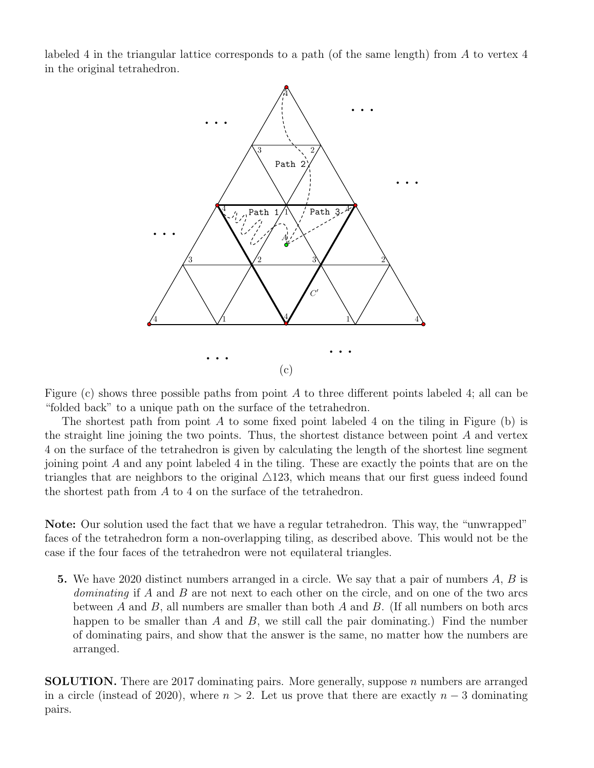labeled 4 in the triangular lattice corresponds to a path (of the same length) from *A* to vertex 4 in the original tetrahedron.



Figure (c) shows three possible paths from point  $A$  to three different points labeled 4; all can be "folded back" to a unique path on the surface of the tetrahedron.

The shortest path from point *A* to some fixed point labeled 4 on the tiling in Figure (b) is the straight line joining the two points. Thus, the shortest distance between point *A* and vertex 4 on the surface of the tetrahedron is given by calculating the length of the shortest line segment joining point *A* and any point labeled 4 in the tiling. These are exactly the points that are on the triangles that are neighbors to the original  $\triangle 123$ , which means that our first guess indeed found the shortest path from *A* to 4 on the surface of the tetrahedron.

Note: Our solution used the fact that we have a regular tetrahedron. This way, the "unwrapped" faces of the tetrahedron form a non-overlapping tiling, as described above. This would not be the case if the four faces of the tetrahedron were not equilateral triangles.

5. We have 2020 distinct numbers arranged in a circle. We say that a pair of numbers *A*, *B* is *dominating* if *A* and *B* are not next to each other on the circle, and on one of the two arcs between *A* and *B*, all numbers are smaller than both *A* and *B*. (If all numbers on both arcs happen to be smaller than *A* and *B*, we still call the pair dominating.) Find the number of dominating pairs, and show that the answer is the same, no matter how the numbers are arranged.

SOLUTION. There are 2017 dominating pairs. More generally, suppose *n* numbers are arranged in a circle (instead of 2020), where  $n > 2$ . Let us prove that there are exactly  $n - 3$  dominating pairs.